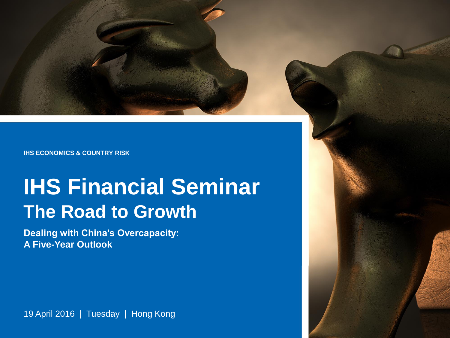**IHS ECONOMICS & COUNTRY RISK**

## **IHS Financial Seminar The Road to Growth**

**Dealing with China's Overcapacity: A Five-Year Outlook**

19 April 2016 | Tuesday | Hong Kong

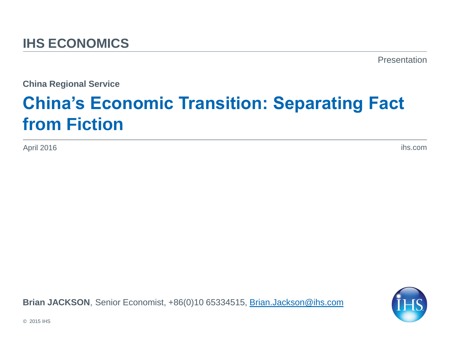Presentation

**China Regional Service**

## **China's Economic Transition: Separating Fact from Fiction**

April 2016

ihs.com

**Brian JACKSON**, Senior Economist, +86(0)10 65334515, [Brian.Jackson@ihs.com](mailto:Brian.Jackson@ihs.com)

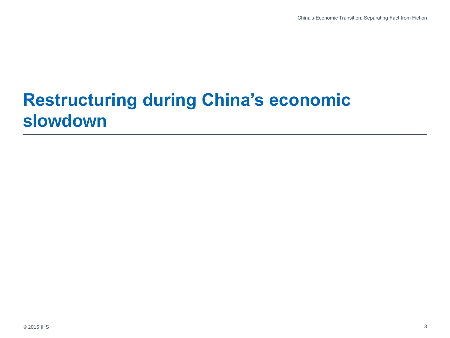### **Restructuring during China's economic slowdown**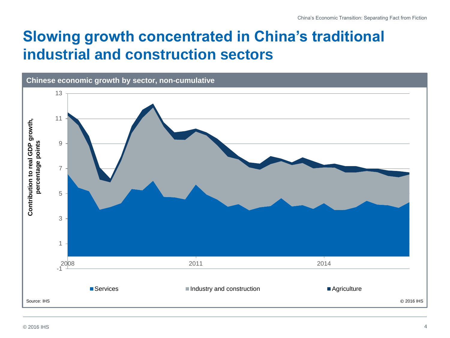### **Slowing growth concentrated in China's traditional industrial and construction sectors**

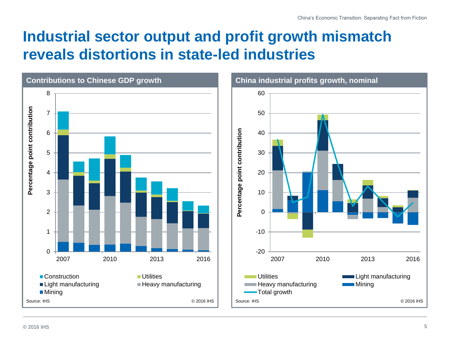### **Industrial sector output and profit growth mismatch reveals distortions in state-led industries**

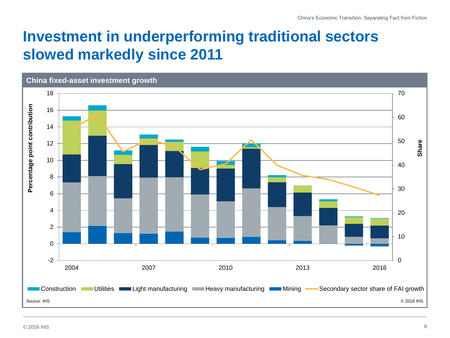### **Investment in underperforming traditional sectors slowed markedly since 2011**

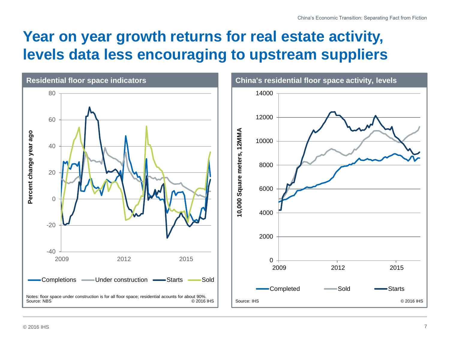### **Year on year growth returns for real estate activity, levels data less encouraging to upstream suppliers**

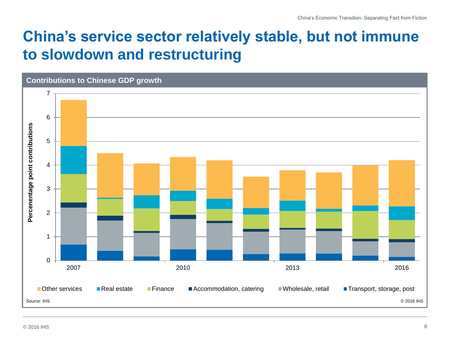### **China's service sector relatively stable, but not immune to slowdown and restructuring**

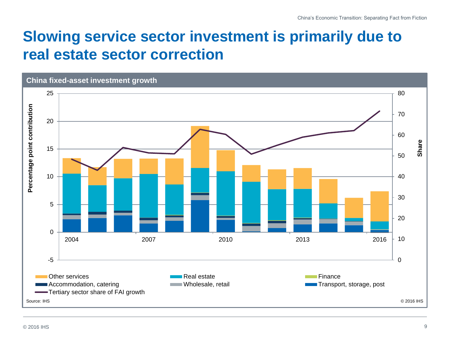### **Slowing service sector investment is primarily due to real estate sector correction**

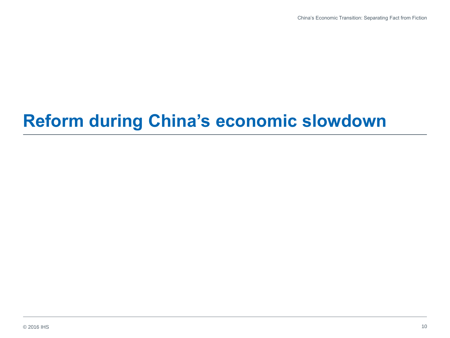## **Reform during China's economic slowdown**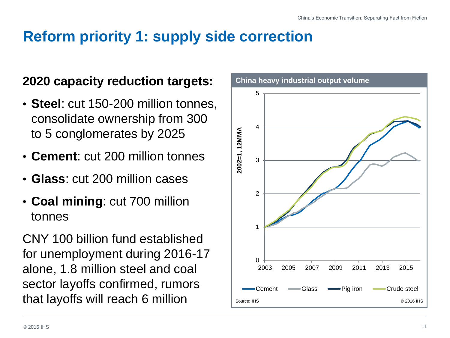### **Reform priority 1: supply side correction**

#### **2020 capacity reduction targets:**

- **Steel**: cut 150-200 million tonnes, consolidate ownership from 300 to 5 conglomerates by 2025
- **Cement**: cut 200 million tonnes
- **Glass**: cut 200 million cases
- **Coal mining**: cut 700 million tonnes

CNY 100 billion fund established for unemployment during 2016-17 alone, 1.8 million steel and coal sector layoffs confirmed, rumors that layoffs will reach 6 million

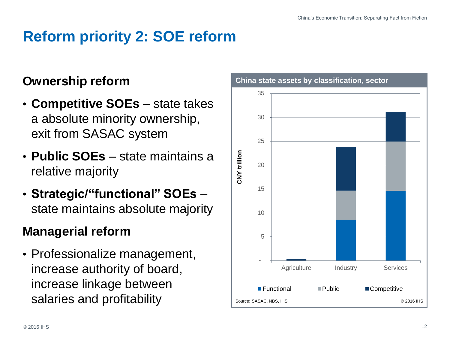### **Reform priority 2: SOE reform**

#### **Ownership reform**

- **Competitive SOEs**  state takes a absolute minority ownership, exit from SASAC system
- **Public SOEs**  state maintains a relative majority
- **Strategic/"functional" SOEs**  state maintains absolute majority

### **Managerial reform**

• Professionalize management, increase authority of board, increase linkage between salaries and profitability

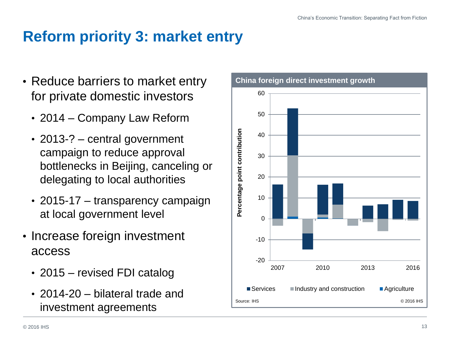### **Reform priority 3: market entry**

- Reduce barriers to market entry for private domestic investors
	- 2014 Company Law Reform
	- 2013-? central government campaign to reduce approval bottlenecks in Beijing, canceling or delegating to local authorities
	- 2015-17 transparency campaign at local government level
- Increase foreign investment access
	- 2015 revised FDI catalog
	- 2014-20 bilateral trade and investment agreements

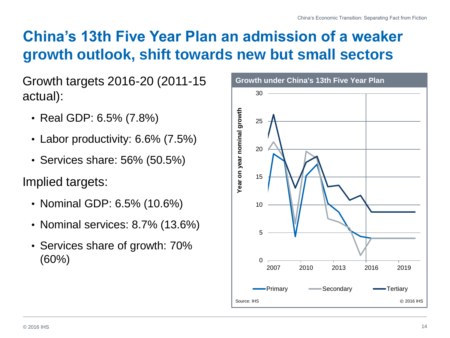### **China's 13th Five Year Plan an admission of a weaker growth outlook, shift towards new but small sectors**

Growth targets 2016-20 (2011-15 actual):

- Real GDP: 6.5% (7.8%)
- Labor productivity: 6.6% (7.5%)
- Services share: 56% (50.5%)

Implied targets:

- Nominal GDP: 6.5% (10.6%)
- Nominal services: 8.7% (13.6%)
- Services share of growth: 70% (60%)

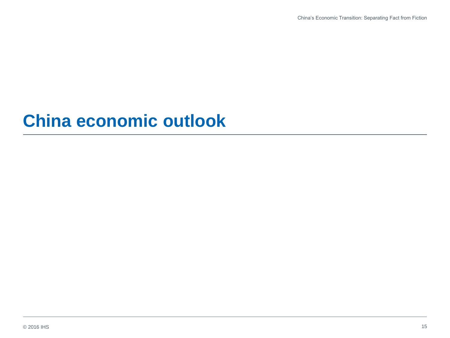### **China economic outlook**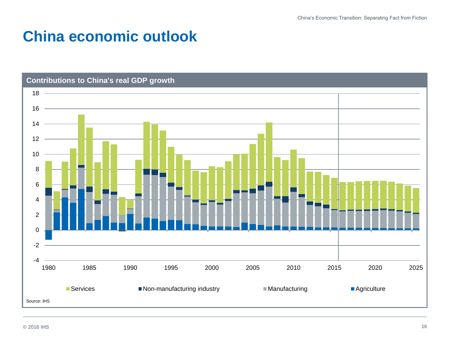### **China economic outlook**

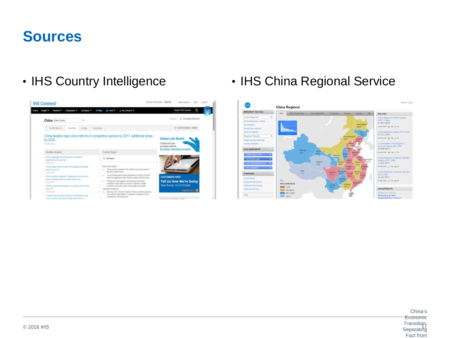### **Sources**



#### • IHS Country Intelligence • IHS China Regional Service

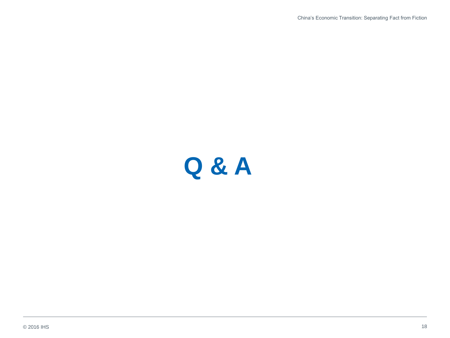China's Economic Transition: Separating Fact from Fiction

# **Q & A**